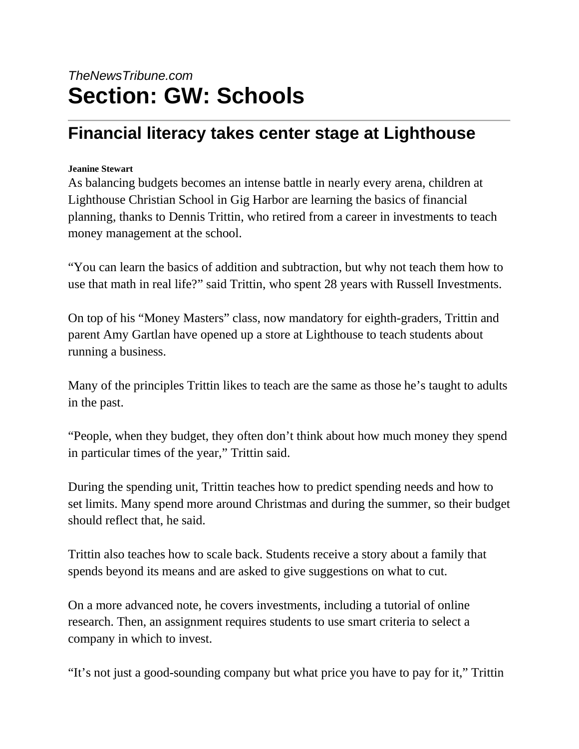## *TheNewsTribune.com* **Section: GW: Schools**

## **Financial literacy takes center stage at Lighthouse**

## **Jeanine Stewart**

As balancing budgets becomes an intense battle in nearly every arena, children at Lighthouse Christian School in Gig Harbor are learning the basics of financial planning, thanks to Dennis Trittin, who retired from a career in investments to teach money management at the school.

"You can learn the basics of addition and subtraction, but why not teach them how to use that math in real life?" said Trittin, who spent 28 years with Russell Investments.

On top of his "Money Masters" class, now mandatory for eighth-graders, Trittin and parent Amy Gartlan have opened up a store at Lighthouse to teach students about running a business.

Many of the principles Trittin likes to teach are the same as those he's taught to adults in the past.

"People, when they budget, they often don't think about how much money they spend in particular times of the year," Trittin said.

During the spending unit, Trittin teaches how to predict spending needs and how to set limits. Many spend more around Christmas and during the summer, so their budget should reflect that, he said.

Trittin also teaches how to scale back. Students receive a story about a family that spends beyond its means and are asked to give suggestions on what to cut.

On a more advanced note, he covers investments, including a tutorial of online research. Then, an assignment requires students to use smart criteria to select a company in which to invest.

"It's not just a good-sounding company but what price you have to pay for it," Trittin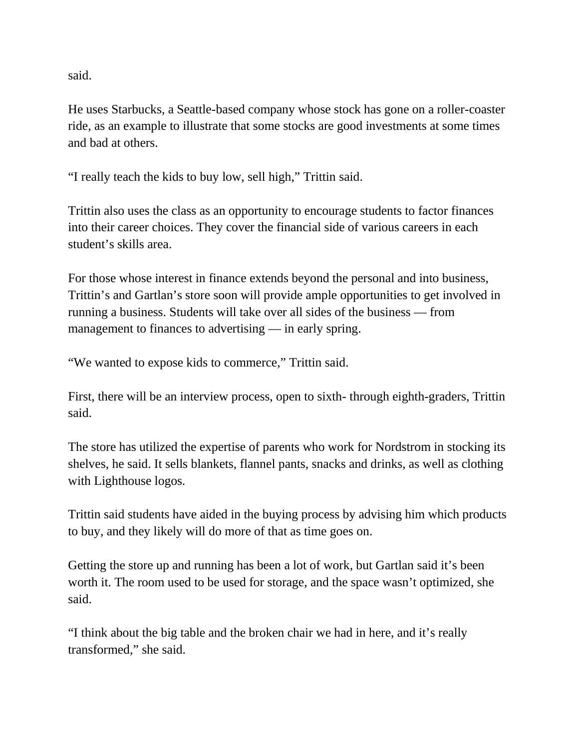said.

He uses Starbucks, a Seattle-based company whose stock has gone on a roller-coaster ride, as an example to illustrate that some stocks are good investments at some times and bad at others.

"I really teach the kids to buy low, sell high," Trittin said.

Trittin also uses the class as an opportunity to encourage students to factor finances into their career choices. They cover the financial side of various careers in each student's skills area.

For those whose interest in finance extends beyond the personal and into business, Trittin's and Gartlan's store soon will provide ample opportunities to get involved in running a business. Students will take over all sides of the business — from management to finances to advertising — in early spring.

"We wanted to expose kids to commerce," Trittin said.

First, there will be an interview process, open to sixth- through eighth-graders, Trittin said.

The store has utilized the expertise of parents who work for Nordstrom in stocking its shelves, he said. It sells blankets, flannel pants, snacks and drinks, as well as clothing with Lighthouse logos.

Trittin said students have aided in the buying process by advising him which products to buy, and they likely will do more of that as time goes on.

Getting the store up and running has been a lot of work, but Gartlan said it's been worth it. The room used to be used for storage, and the space wasn't optimized, she said.

"I think about the big table and the broken chair we had in here, and it's really transformed," she said.